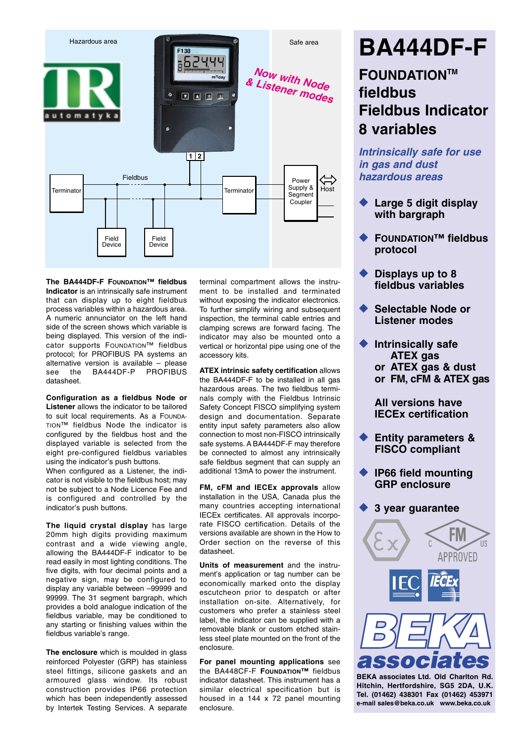

**The BA444DF-F FOUNDATION™ fieldbus Indicator** is an intrinsically safe instrument that can display up to eight fieldbus process variables within a hazardous area. A numeric annunciator on the left hand side of the screen shows which variable is being displayed. This version of the indicator supports FOUNDATION™ fieldbus protocol; for PROFIBUS PA systems an alternative version is available – please BA444DF-P datasheet.

**Configuration as a fieldbus Node or Listener** allows the indicator to be tailored to suit local requirements. As a FOUNDA-TION™ fieldbus Node the indicator is configured by the fieldbus host and the displayed variable is selected from the eight pre-configured fieldbus variables using the indicator's push buttons.

When configured as a Listener, the indicator is not visible to the fieldbus host; may not be subject to a Node Licence Fee and is configured and controlled by the indicator's push buttons.

**The liquid crystal display** has large 20mm high digits providing maximum contrast and a wide viewing angle, allowing the BA444DF-F indicator to be read easily in most lighting conditions. The five digits, with four decimal points and a negative sign, may be configured to display any variable between –99999 and 99999. The 31 seament bargraph, which provides a bold analogue indication of the fieldbus variable, may be conditioned to any starting or finishing values within the fieldbus variable's range.

**The enclosure** which is moulded in glass reinforced Polyester (GRP) has stainless steel fittings, silicone gaskets and an armoured glass window. Its robust construction provides IP66 protection which has been independently assessed by Intertek Testing Services. A separate

terminal compartment allows the instrument to be installed and terminated without exposing the indicator electronics. To further simplify wiring and subsequent inspection, the terminal cable entries and clamping screws are forward facing. The indicator may also be mounted onto a vertical or horizontal pipe using one of the accessory kits.

**ATEX intrinsic safety certification** allows the BA444DF-F to be installed in all gas hazardous areas. The two fieldbus terminals comply with the Fieldbus Intrinsic Safety Concept FISCO simplifying system design and documentation. Separate entity input safety parameters also allow connection to most non-FISCO intrinsically safe systems. A BA444DF-F may therefore be connected to almost any intrinsically safe fieldbus segment that can supply an additional 13mA to power the instrument.

**FM, cFM and IECEx approvals** allow installation in the USA, Canada plus the many countries accepting international IECEx certificates. All approvals incorporate FISCO certification. Details of the versions available are shown in the How to Order section on the reverse of this datasheet.

**Units of measurement** and the instrument's application or tag number can be economically marked onto the display escutcheon prior to despatch or after installation on-site. Alternatively, for customers who prefer a stainless steel label, the indicator can be supplied with a removable blank or custom etched stainless steel plate mounted on the front of the enclosure.

**For panel mounting applications** see the BA448CF-F **FOUNDATION™** fieldbus indicator datasheet. This instrument has a similar electrical specification but is housed in a 144 x 72 panel mounting enclosure.

# **BA444DF-F**

## **FOUNDATIONTM fieldbus Fieldbus Indicator 8 variables**

*Intrinsically safe for use in gas and dust hazardous areas*

- **Large 5 digit display with bargraph**
- **FOUNDATION™ fieldbus protocol**
- ◆ **Displays up to 8 fieldbus variables**
- **Selectable Node or Listener modes**
- **Intrinsically safe ATEX gas or ATEX gas & dust or FM, cFM & ATEX gas**

**All versions have IECEx certification**

- **Entity parameters & FISCO compliant**
- **IP66 field mounting GRP enclosure**
- ◆ **3 year guarantee**



**[Tel. \(01462\) 438301 Fax \(01462\) 453971](http://www.beka.co.uk/) e-mail sales@beka.co.uk www.beka.co.uk**